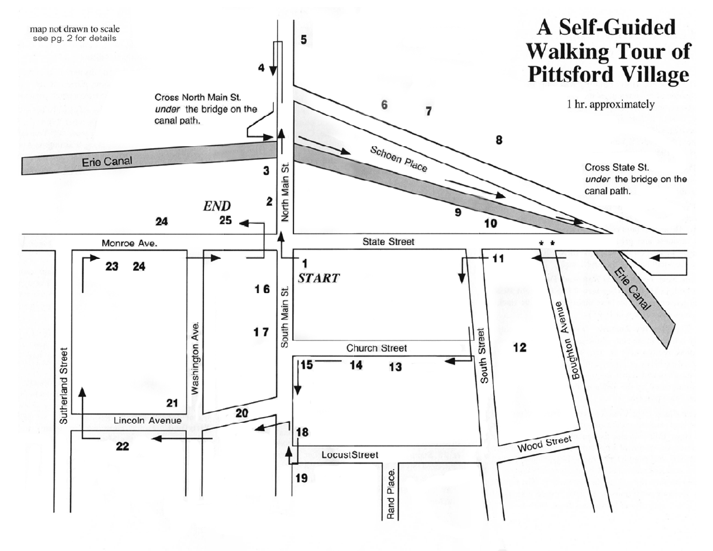